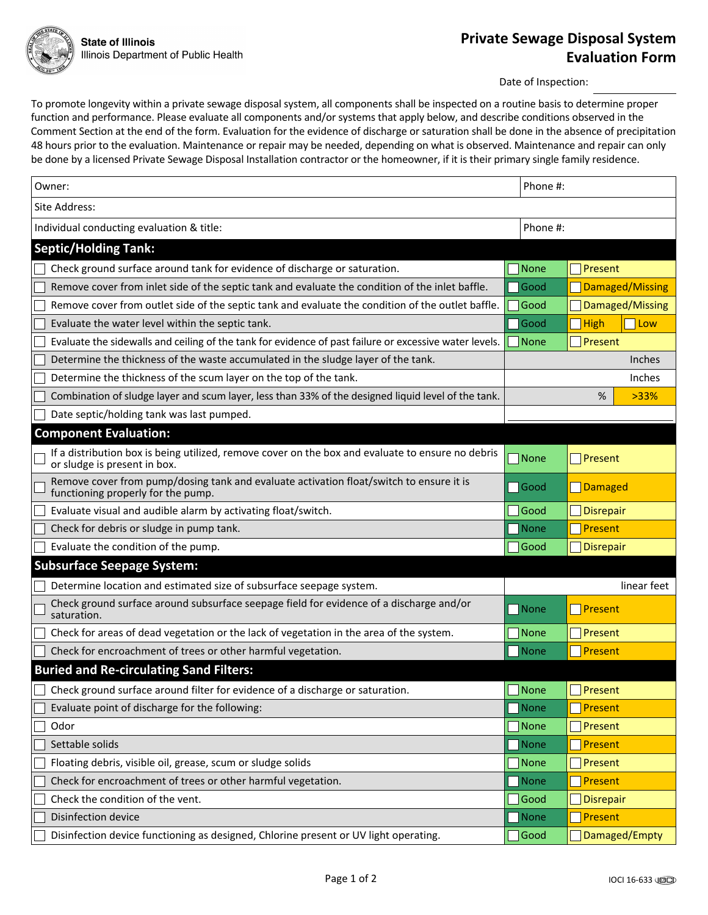Date of Inspection:

To promote longevity within a private sewage disposal system, all components shall be inspected on a routine basis to determine proper function and performance. Please evaluate all components and/or systems that apply below, and describe conditions observed in the Comment Section at the end of the form. Evaluation for the evidence of discharge or saturation shall be done in the absence of precipitation 48 hours prior to the evaluation. Maintenance or repair may be needed, depending on what is observed. Maintenance and repair can only be done by a licensed Private Sewage Disposal Installation contractor or the homeowner, if it is their primary single family residence.

| Owner:                                                                                                                            | Phone #:       |                              |
|-----------------------------------------------------------------------------------------------------------------------------------|----------------|------------------------------|
| Site Address:                                                                                                                     |                |                              |
| Individual conducting evaluation & title:                                                                                         | Phone #:       |                              |
| <b>Septic/Holding Tank:</b>                                                                                                       |                |                              |
| Check ground surface around tank for evidence of discharge or saturation.                                                         | <b>None</b>    | Present                      |
| Remove cover from inlet side of the septic tank and evaluate the condition of the inlet baffle.                                   | Good           | Damaged/Missing              |
| Remove cover from outlet side of the septic tank and evaluate the condition of the outlet baffle.                                 | Good           | Damaged/Missing              |
| Evaluate the water level within the septic tank.                                                                                  | Good           | <b>T</b> High<br>$\Box$ Low  |
| Evaluate the sidewalls and ceiling of the tank for evidence of past failure or excessive water levels.                            | None           | Present                      |
| Determine the thickness of the waste accumulated in the sludge layer of the tank.                                                 |                | <b>Inches</b>                |
| Determine the thickness of the scum layer on the top of the tank.                                                                 |                | Inches                       |
| Combination of sludge layer and scum layer, less than 33% of the designed liquid level of the tank.                               |                | %<br>>33%                    |
| Date septic/holding tank was last pumped.                                                                                         |                |                              |
| <b>Component Evaluation:</b>                                                                                                      |                |                              |
| If a distribution box is being utilized, remove cover on the box and evaluate to ensure no debris<br>or sludge is present in box. | None           | $\sqrt{\frac{P}{T}}$ Present |
| Remove cover from pump/dosing tank and evaluate activation float/switch to ensure it is<br>functioning properly for the pump.     | $\bigcap$ Good | Damaged                      |
| Evaluate visual and audible alarm by activating float/switch.                                                                     | Good           | <b>Disrepair</b>             |
| Check for debris or sludge in pump tank.                                                                                          | None           | Present                      |
| Evaluate the condition of the pump.                                                                                               | Good           | Disrepair                    |
| <b>Subsurface Seepage System:</b>                                                                                                 |                |                              |
| Determine location and estimated size of subsurface seepage system.                                                               |                | linear feet                  |
| Check ground surface around subsurface seepage field for evidence of a discharge and/or<br>saturation.                            | None           | Present                      |
| Check for areas of dead vegetation or the lack of vegetation in the area of the system.                                           | <b>None</b>    | Present                      |
| Check for encroachment of trees or other harmful vegetation.                                                                      | None           | Present                      |
| <b>Buried and Re-circulating Sand Filters:</b>                                                                                    |                |                              |
| Check ground surface around filter for evidence of a discharge or saturation.                                                     | <b>None</b>    | Present                      |
| Evaluate point of discharge for the following:                                                                                    | None           | Present                      |
| Odor                                                                                                                              | <b>None</b>    | Present                      |
| Settable solids                                                                                                                   | None           | Present                      |
| Floating debris, visible oil, grease, scum or sludge solids                                                                       | None           | Present                      |
| Check for encroachment of trees or other harmful vegetation.                                                                      | None           | Present                      |
| Check the condition of the vent.                                                                                                  | Good           | <b>Disrepair</b>             |
| Disinfection device                                                                                                               | None           | Present                      |
| Disinfection device functioning as designed, Chlorine present or UV light operating.                                              | Good           | Damaged/Empty                |